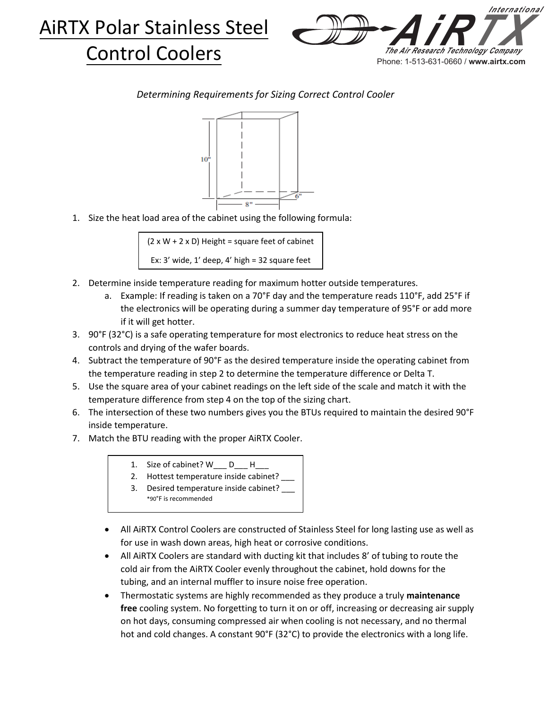



*Determining Requirements for Sizing Correct Control Cooler*



1. Size the heat load area of the cabinet using the following formula:

 $(2 \times W + 2 \times D)$  Height = square feet of cabinet Ex: 3' wide, 1' deep, 4' high = 32 square feet

- 2. Determine inside temperature reading for maximum hotter outside temperatures.
	- a. Example: If reading is taken on a 70°F day and the temperature reads 110°F, add 25°F if the electronics will be operating during a summer day temperature of 95°F or add more if it will get hotter.
- 3. 90°F (32°C) is a safe operating temperature for most electronics to reduce heat stress on the controls and drying of the wafer boards.
- 4. Subtract the temperature of 90°F as the desired temperature inside the operating cabinet from the temperature reading in step 2 to determine the temperature difference or Delta T.
- 5. Use the square area of your cabinet readings on the left side of the scale and match it with the temperature difference from step 4 on the top of the sizing chart.
- 6. The intersection of these two numbers gives you the BTUs required to maintain the desired 90°F inside temperature.
- 7. Match the BTU reading with the proper AiRTX Cooler.
	- 1. Size of cabinet? W\_\_\_ D\_\_\_ H\_\_\_
	- 2. Hottest temperature inside cabinet?
	- 3. Desired temperature inside cabinet? \_\_\_ \*90°F is recommended
	- All AiRTX Control Coolers are constructed of Stainless Steel for long lasting use as well as for use in wash down areas, high heat or corrosive conditions.
	- All AiRTX Coolers are standard with ducting kit that includes 8' of tubing to route the cold air from the AiRTX Cooler evenly throughout the cabinet, hold downs for the tubing, and an internal muffler to insure noise free operation.
	- Thermostatic systems are highly recommended as they produce a truly **maintenance free** cooling system. No forgetting to turn it on or off, increasing or decreasing air supply on hot days, consuming compressed air when cooling is not necessary, and no thermal hot and cold changes. A constant 90°F (32°C) to provide the electronics with a long life.